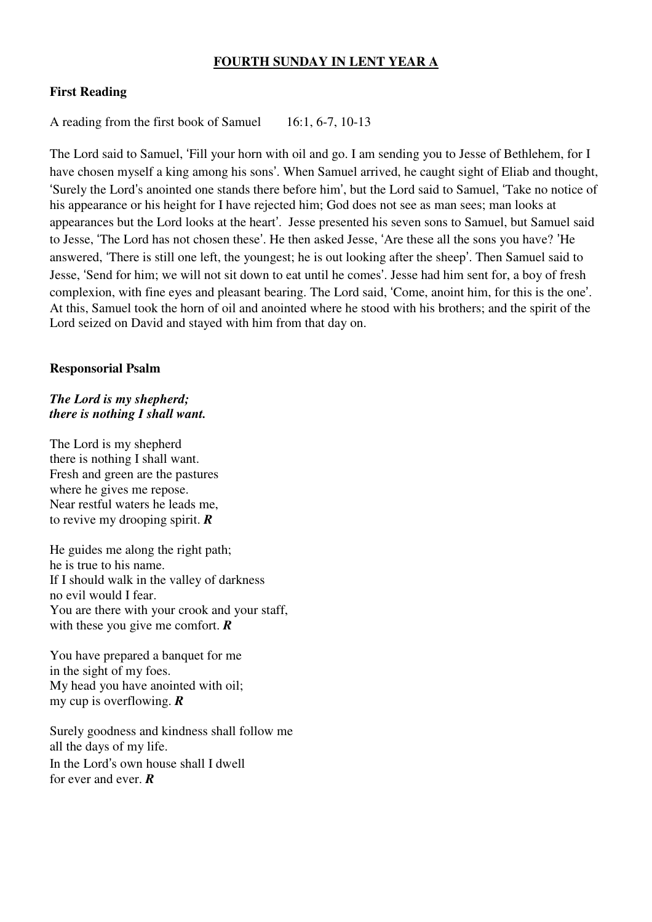## **FOURTH SUNDAY IN LENT YEAR A**

## **First Reading**

A reading from the first book of Samuel 16:1, 6-7, 10-13

The Lord said to Samuel, 'Fill your horn with oil and go. I am sending you to Jesse of Bethlehem, for I have chosen myself a king among his sons'. When Samuel arrived, he caught sight of Eliab and thought, 'Surely the Lord's anointed one stands there before him', but the Lord said to Samuel, 'Take no notice of his appearance or his height for I have rejected him; God does not see as man sees; man looks at appearances but the Lord looks at the heart'. Jesse presented his seven sons to Samuel, but Samuel said to Jesse, 'The Lord has not chosen these'. He then asked Jesse, 'Are these all the sons you have? 'He answered, 'There is still one left, the youngest; he is out looking after the sheep'. Then Samuel said to Jesse, 'Send for him; we will not sit down to eat until he comes'. Jesse had him sent for, a boy of fresh complexion, with fine eyes and pleasant bearing. The Lord said, 'Come, anoint him, for this is the one'. At this, Samuel took the horn of oil and anointed where he stood with his brothers; and the spirit of the Lord seized on David and stayed with him from that day on.

## **Responsorial Psalm**

### *The Lord is my shepherd; there is nothing I shall want.*

The Lord is my shepherd there is nothing I shall want. Fresh and green are the pastures where he gives me repose. Near restful waters he leads me, to revive my drooping spirit. *R* 

He guides me along the right path; he is true to his name. If I should walk in the valley of darkness no evil would I fear. You are there with your crook and your staff, with these you give me comfort. *R* 

You have prepared a banquet for me in the sight of my foes. My head you have anointed with oil; my cup is overflowing. *R* 

Surely goodness and kindness shall follow me all the days of my life. In the Lord's own house shall I dwell for ever and ever. *R*